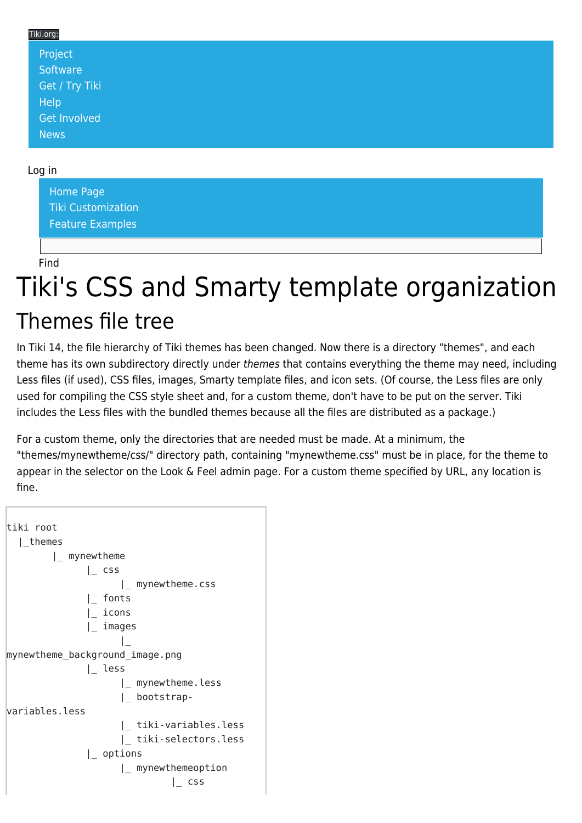| Tiki.org: |                |
|-----------|----------------|
|           | Project        |
|           | Software       |
|           | Get / Try Tiki |
|           | Help           |
|           | Get Involved   |
|           | <b>News</b>    |

#### Log in

[Home Page](https://themes.tiki.org/Themes) [Tiki Customization](https://themes.tiki.org/Tiki-Customization) [Feature Examples](#page--1-0)

Find

# Tiki's CSS and Smarty template organization Themes file tree

In Tiki 14, the file hierarchy of Tiki themes has been changed. Now there is a directory "themes", and each theme has its own subdirectory directly under themes that contains everything the theme may need, including Less files (if used), CSS files, images, Smarty template files, and icon sets. (Of course, the Less files are only used for compiling the CSS style sheet and, for a custom theme, don't have to be put on the server. Tiki includes the Less files with the bundled themes because all the files are distributed as a package.)

For a custom theme, only the directories that are needed must be made. At a minimum, the "themes/mynewtheme/css/" directory path, containing "mynewtheme.css" must be in place, for the theme to appear in the selector on the Look & Feel admin page. For a custom theme specified by URL, any location is fine.

```
tiki root
   |_themes
         |_ mynewtheme
               |_ css
                     |_ mynewtheme.css
               |_ fonts
               |_ icons
               |_ images
 |_
mynewtheme_background_image.png
               |_ less
                     |_ mynewtheme.less
                     |_ bootstrap-
variables.less
                     |_ tiki-variables.less
                     |_ tiki-selectors.less
               |_ options
                     |_ mynewthemeoption
                               |_ css
```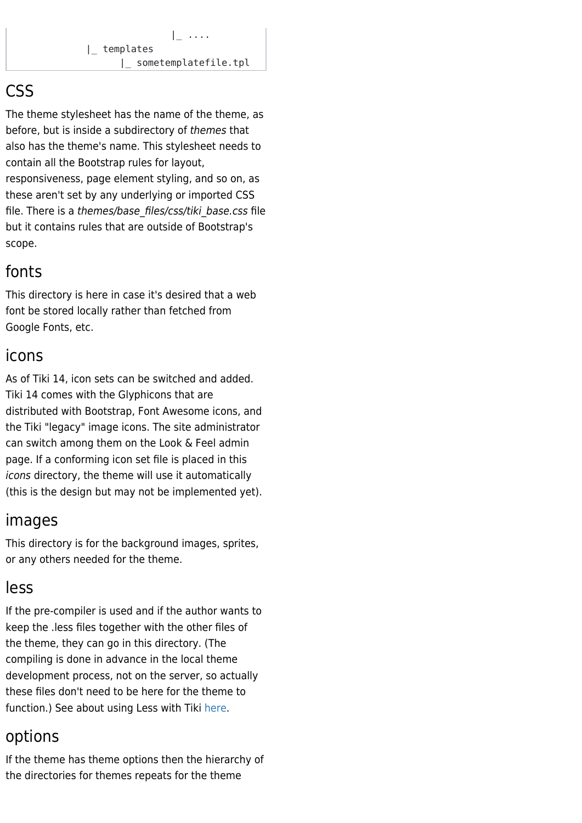# **CSS**

The theme stylesheet has the name of the theme, as before, but is inside a subdirectory of themes that also has the theme's name. This stylesheet needs to contain all the Bootstrap rules for layout, responsiveness, page element styling, and so on, as these aren't set by any underlying or imported CSS file. There is a themes/base\_files/css/tiki\_base.css file but it contains rules that are outside of Bootstrap's scope.

# fonts

This directory is here in case it's desired that a web font be stored locally rather than fetched from Google Fonts, etc.

#### icons

As of Tiki 14, icon sets can be switched and added. Tiki 14 comes with the Glyphicons that are distributed with Bootstrap, Font Awesome icons, and the Tiki "legacy" image icons. The site administrator can switch among them on the Look & Feel admin page. If a conforming icon set file is placed in this icons directory, the theme will use it automatically (this is the design but may not be implemented yet).

# images

This directory is for the background images, sprites, or any others needed for the theme.

# less

If the pre-compiler is used and if the author wants to keep the .less files together with the other files of the theme, they can go in this directory. (The compiling is done in advance in the local theme development process, not on the server, so actually these files don't need to be here for the theme to function.) See about using Less with Tiki [here.](https://themes.tiki.org/Organization-and-details-of-Less-files)

# options

If the theme has theme options then the hierarchy of the directories for themes repeats for the theme